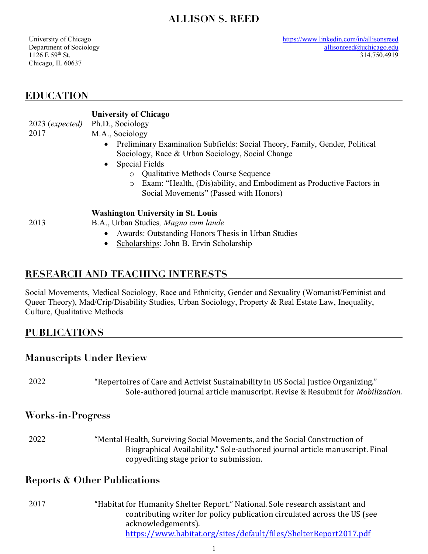# **ALLISON S. REED**

University of Chicago Department of Sociology  $1126 E 59$ <sup>th</sup> St. Chicago, IL 60637

# **EDUCATION**

# **University of Chicago**

2023 (*expected)* 2017

- Ph.D., Sociology
	- M.A., Sociology
		- Preliminary Examination Subfields: Social Theory, Family, Gender, Political Sociology, Race & Urban Sociology, Social Change
		- Special Fields
			- o Qualitative Methods Course Sequence
			- o Exam: "Health, (Dis)ability, and Embodiment as Productive Factors in Social Movements" (Passed with Honors)

#### **Washington University in St. Louis**

- B.A., Urban Studies*, Magna cum laude*
	- Awards: Outstanding Honors Thesis in Urban Studies
	- Scholarships: John B. Ervin Scholarship

# **RESEARCH AND TEACHING INTERESTS**

Social Movements, Medical Sociology, Race and Ethnicity, Gender and Sexuality (Womanist/Feminist and Queer Theory), Mad/Crip/Disability Studies, Urban Sociology, Property & Real Estate Law, Inequality, Culture, Qualitative Methods

# **PUBLICATIONS**

## **Manuscripts Under Review**

"Repertoires of Care and Activist Sustainability in US Social Justice Organizing." Sole-authored journal article manuscript. Revise & Resubmit for *Mobilization.* 2022

## **Works-in-Progress**

"Mental Health, Surviving Social Movements, and the Social Construction of Biographical Availability." Sole-authored journal article manuscript. Final copyediting stage prior to submission. 2022

## **Reports & Other Publications**

"Habitat for Humanity Shelter Report." National. Sole research assistant and contributing writer for policy publication circulated across the US (see acknowledgements). https://www.habitat.org/sites/default/files/ShelterReport2017.pdf 2017

2013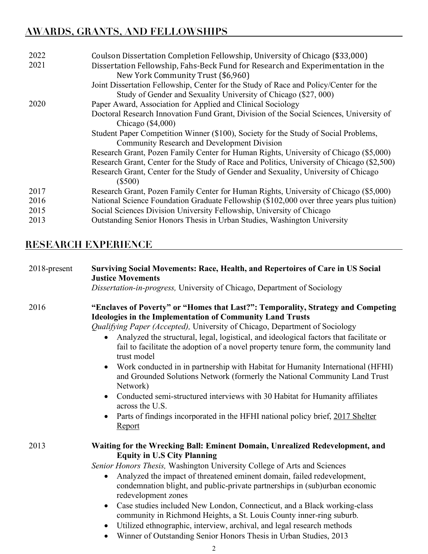# **AWARDS, GRANTS, AND FELLOWSHIPS**

| 2022 | Coulson Dissertation Completion Fellowship, University of Chicago (\$33,000)               |
|------|--------------------------------------------------------------------------------------------|
| 2021 | Dissertation Fellowship, Fahs-Beck Fund for Research and Experimentation in the            |
|      |                                                                                            |
|      | New York Community Trust (\$6,960)                                                         |
|      | Joint Dissertation Fellowship, Center for the Study of Race and Policy/Center for the      |
|      | Study of Gender and Sexuality University of Chicago (\$27, 000)                            |
| 2020 | Paper Award, Association for Applied and Clinical Sociology                                |
|      | Doctoral Research Innovation Fund Grant, Division of the Social Sciences, University of    |
|      | Chicago $(\$4,000)$                                                                        |
|      | Student Paper Competition Winner (\$100), Society for the Study of Social Problems,        |
|      | <b>Community Research and Development Division</b>                                         |
|      | Research Grant, Pozen Family Center for Human Rights, University of Chicago (\$5,000)      |
|      | Research Grant, Center for the Study of Race and Politics, University of Chicago (\$2,500) |
|      | Research Grant, Center for the Study of Gender and Sexuality, University of Chicago        |
|      | $(\$500)$                                                                                  |
| 2017 | Research Grant, Pozen Family Center for Human Rights, University of Chicago (\$5,000)      |
| 2016 | National Science Foundation Graduate Fellowship (\$102,000 over three years plus tuition)  |
| 2015 | Social Sciences Division University Fellowship, University of Chicago                      |
| 2013 | Outstanding Senior Honors Thesis in Urban Studies, Washington University                   |
|      |                                                                                            |

# **RESEARCH EXPERIENCE**

| 2018-present | <b>Surviving Social Movements: Race, Health, and Repertoires of Care in US Social</b><br><b>Justice Movements</b><br>Dissertation-in-progress, University of Chicago, Department of Sociology                                                                                                                                                                                                                                                                                                                                                                                                                                                                                                                                                                                                                                                    |
|--------------|--------------------------------------------------------------------------------------------------------------------------------------------------------------------------------------------------------------------------------------------------------------------------------------------------------------------------------------------------------------------------------------------------------------------------------------------------------------------------------------------------------------------------------------------------------------------------------------------------------------------------------------------------------------------------------------------------------------------------------------------------------------------------------------------------------------------------------------------------|
| 2016         | "Enclaves of Poverty" or "Homes that Last?": Temporality, Strategy and Competing<br><b>Ideologies in the Implementation of Community Land Trusts</b><br>Qualifying Paper (Accepted), University of Chicago, Department of Sociology<br>Analyzed the structural, legal, logistical, and ideological factors that facilitate or<br>fail to facilitate the adoption of a novel property tenure form, the community land<br>trust model<br>Work conducted in in partnership with Habitat for Humanity International (HFHI)<br>$\bullet$<br>and Grounded Solutions Network (formerly the National Community Land Trust<br>Network)<br>Conducted semi-structured interviews with 30 Habitat for Humanity affiliates<br>$\bullet$<br>across the U.S.<br>Parts of findings incorporated in the HFHI national policy brief, 2017 Shelter<br><u>Report</u> |
| 2013         | Waiting for the Wrecking Ball: Eminent Domain, Unrealized Redevelopment, and<br><b>Equity in U.S City Planning</b><br>Senior Honors Thesis, Washington University College of Arts and Sciences<br>Analyzed the impact of threatened eminent domain, failed redevelopment,<br>$\bullet$<br>condemnation blight, and public-private partnerships in (sub)urban economic<br>redevelopment zones<br>Case studies included New London, Connecticut, and a Black working-class<br>$\bullet$<br>community in Richmond Heights, a St. Louis County inner-ring suburb.<br>Utilized ethnographic, interview, archival, and legal research methods<br>$\bullet$                                                                                                                                                                                             |

• Winner of Outstanding Senior Honors Thesis in Urban Studies, 2013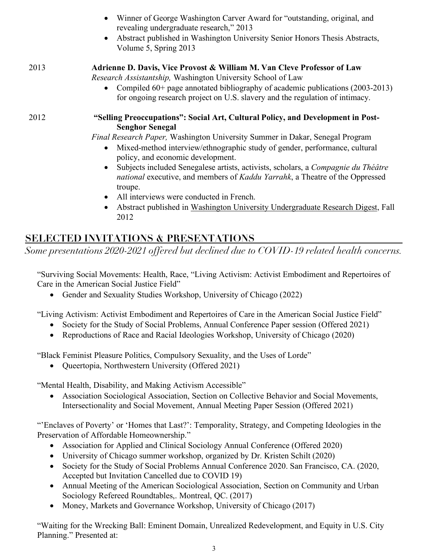|      | Winner of George Washington Carver Award for "outstanding, original, and<br>revealing undergraduate research," 2013<br>Abstract published in Washington University Senior Honors Thesis Abstracts,<br>$\bullet$<br>Volume 5, Spring 2013                                                                                                                                                                                                                                                                                              |
|------|---------------------------------------------------------------------------------------------------------------------------------------------------------------------------------------------------------------------------------------------------------------------------------------------------------------------------------------------------------------------------------------------------------------------------------------------------------------------------------------------------------------------------------------|
| 2013 | Adrienne D. Davis, Vice Provost & William M. Van Cleve Professor of Law<br>Research Assistantship, Washington University School of Law<br>Compiled $60+$ page annotated bibliography of academic publications (2003-2013)<br>for ongoing research project on U.S. slavery and the regulation of intimacy.                                                                                                                                                                                                                             |
| 2012 | "Selling Preoccupations": Social Art, Cultural Policy, and Development in Post-<br><b>Senghor Senegal</b><br>Final Research Paper, Washington University Summer in Dakar, Senegal Program<br>Mixed-method interview/ethnographic study of gender, performance, cultural<br>$\bullet$<br>policy, and economic development.<br>Subjects included Senegalese artists, activists, scholars, a Compagnie du Théâtre<br>$\bullet$<br><i>national</i> executive, and members of <i>Kaddu Yarrahk</i> , a Theatre of the Oppressed<br>troupe. |

- All interviews were conducted in French.
- Abstract published in Washington University Undergraduate Research Digest, Fall 2012

# **SELECTED INVITATIONS & PRESENTATIONS**

*Some presentations 2020-2021 offered but declined due to COVID-19 related health concerns.* 

"Surviving Social Movements: Health, Race, "Living Activism: Activist Embodiment and Repertoires of Care in the American Social Justice Field"

• Gender and Sexuality Studies Workshop, University of Chicago (2022)

"Living Activism: Activist Embodiment and Repertoires of Care in the American Social Justice Field"

- Society for the Study of Social Problems, Annual Conference Paper session (Offered 2021)
- Reproductions of Race and Racial Ideologies Workshop, University of Chicago (2020)

"Black Feminist Pleasure Politics, Compulsory Sexuality, and the Uses of Lorde"

• Queertopia, Northwestern University (Offered 2021)

"Mental Health, Disability, and Making Activism Accessible"

• Association Sociological Association, Section on Collective Behavior and Social Movements, Intersectionality and Social Movement, Annual Meeting Paper Session (Offered 2021)

"'Enclaves of Poverty' or 'Homes that Last?': Temporality, Strategy, and Competing Ideologies in the Preservation of Affordable Homeownership."

- Association for Applied and Clinical Sociology Annual Conference (Offered 2020)
- University of Chicago summer workshop, organized by Dr. Kristen Schilt (2020)
- Society for the Study of Social Problems Annual Conference 2020. San Francisco, CA. (2020, Accepted but Invitation Cancelled due to COVID 19)
- Annual Meeting of the American Sociological Association, Section on Community and Urban Sociology Refereed Roundtables,. Montreal, QC. (2017)
- Money, Markets and Governance Workshop, University of Chicago (2017)

"Waiting for the Wrecking Ball: Eminent Domain, Unrealized Redevelopment, and Equity in U.S. City Planning." Presented at: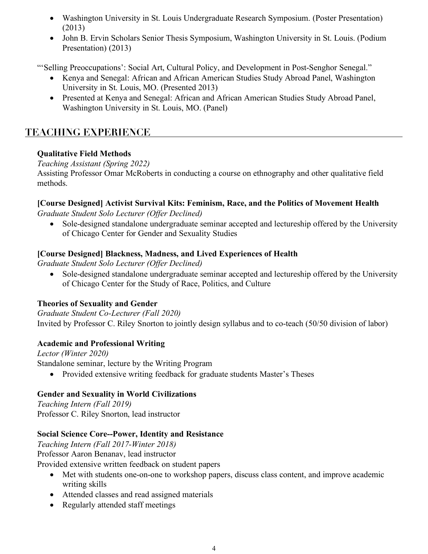- Washington University in St. Louis Undergraduate Research Symposium. (Poster Presentation) (2013)
- John B. Ervin Scholars Senior Thesis Symposium, Washington University in St. Louis. (Podium Presentation) (2013)

"'Selling Preoccupations': Social Art, Cultural Policy, and Development in Post-Senghor Senegal."

- Kenya and Senegal: African and African American Studies Study Abroad Panel, Washington University in St. Louis, MO. (Presented 2013)
- Presented at Kenya and Senegal: African and African American Studies Study Abroad Panel, Washington University in St. Louis, MO. (Panel)

# **TEACHING EXPERIENCE**

#### **Qualitative Field Methods**

#### *Teaching Assistant (Spring 2022)*

Assisting Professor Omar McRoberts in conducting a course on ethnography and other qualitative field methods.

#### **[Course Designed] Activist Survival Kits: Feminism, Race, and the Politics of Movement Health**

*Graduate Student Solo Lecturer (Offer Declined)*

• Sole-designed standalone undergraduate seminar accepted and lectureship offered by the University of Chicago Center for Gender and Sexuality Studies

#### **[Course Designed] Blackness, Madness, and Lived Experiences of Health**

*Graduate Student Solo Lecturer (Offer Declined)*

• Sole-designed standalone undergraduate seminar accepted and lectureship offered by the University of Chicago Center for the Study of Race, Politics, and Culture

#### **Theories of Sexuality and Gender**

*Graduate Student Co-Lecturer (Fall 2020)* Invited by Professor C. Riley Snorton to jointly design syllabus and to co-teach (50/50 division of labor)

#### **Academic and Professional Writing**

*Lector (Winter 2020)* Standalone seminar, lecture by the Writing Program

• Provided extensive writing feedback for graduate students Master's Theses

#### **Gender and Sexuality in World Civilizations**

*Teaching Intern (Fall 2019)* Professor C. Riley Snorton, lead instructor

#### **Social Science Core--Power, Identity and Resistance**

*Teaching Intern (Fall 2017-Winter 2018)* Professor Aaron Benanav, lead instructor Provided extensive written feedback on student papers

- Met with students one-on-one to workshop papers, discuss class content, and improve academic writing skills
- Attended classes and read assigned materials
- Regularly attended staff meetings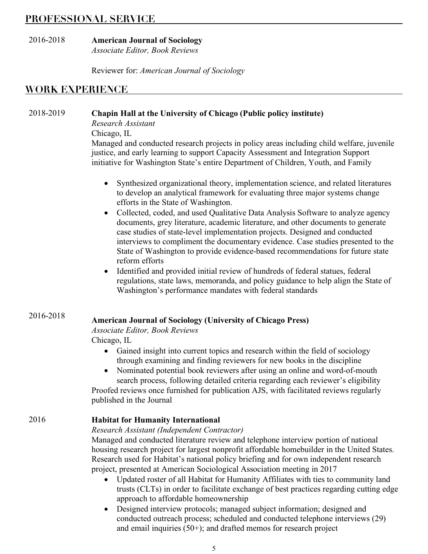## **PROFESSIONAL SERVICE**

#### 2016-2018 **American Journal of Sociology** *Associate Editor, Book Reviews*

Reviewer for: *American Journal of Sociology*

# **WORK EXPERIENCE**

#### 2018-2019 **Chapin Hall at the University of Chicago (Public policy institute)**

*Research Assistant*

Chicago, IL

Managed and conducted research projects in policy areas including child welfare, juvenile justice, and early learning to support Capacity Assessment and Integration Support initiative for Washington State's entire Department of Children, Youth, and Family

- Synthesized organizational theory, implementation science, and related literatures to develop an analytical framework for evaluating three major systems change efforts in the State of Washington.
- Collected, coded, and used Qualitative Data Analysis Software to analyze agency documents, grey literature, academic literature, and other documents to generate case studies of state-level implementation projects. Designed and conducted interviews to compliment the documentary evidence. Case studies presented to the State of Washington to provide evidence-based recommendations for future state reform efforts
- Identified and provided initial review of hundreds of federal statues, federal regulations, state laws, memoranda, and policy guidance to help align the State of Washington's performance mandates with federal standards

#### 2016-2018

#### **American Journal of Sociology (University of Chicago Press)**

*Associate Editor, Book Reviews*

Chicago, IL

- Gained insight into current topics and research within the field of sociology through examining and finding reviewers for new books in the discipline
- Nominated potential book reviewers after using an online and word-of-mouth search process, following detailed criteria regarding each reviewer's eligibility

Proofed reviews once furnished for publication AJS, with facilitated reviews regularly published in the Journal

#### 2016 **Habitat for Humanity International**

#### *Research Assistant (Independent Contractor)*

Managed and conducted literature review and telephone interview portion of national housing research project for largest nonprofit affordable homebuilder in the United States. Research used for Habitat's national policy briefing and for own independent research project, presented at American Sociological Association meeting in 2017

- Updated roster of all Habitat for Humanity Affiliates with ties to community land trusts (CLTs) in order to facilitate exchange of best practices regarding cutting edge approach to affordable homeownership
- Designed interview protocols; managed subject information; designed and conducted outreach process; scheduled and conducted telephone interviews (29) and email inquiries  $(50+)$ ; and drafted memos for research project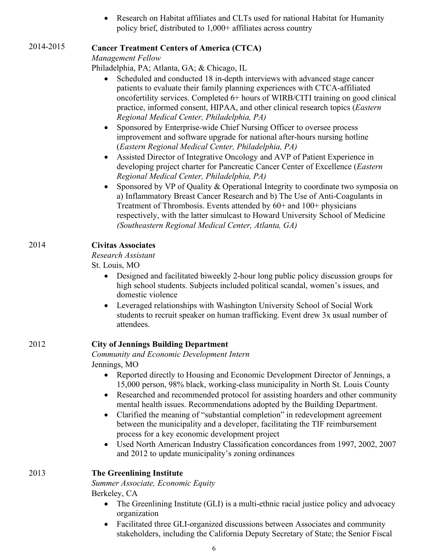• Research on Habitat affiliates and CLTs used for national Habitat for Humanity policy brief, distributed to 1,000+ affiliates across country

#### 2014-2015 **Cancer Treatment Centers of America (CTCA)**

*Management Fellow*

Philadelphia, PA; Atlanta, GA; & Chicago, IL

- Scheduled and conducted 18 in-depth interviews with advanced stage cancer patients to evaluate their family planning experiences with CTCA-affiliated oncofertility services. Completed 6+ hours of WIRB/CITI training on good clinical practice, informed consent, HIPAA, and other clinical research topics (*Eastern Regional Medical Center, Philadelphia, PA)*
- Sponsored by Enterprise-wide Chief Nursing Officer to oversee process improvement and software upgrade for national after-hours nursing hotline (*Eastern Regional Medical Center, Philadelphia, PA)*
- Assisted Director of Integrative Oncology and AVP of Patient Experience in developing project charter for Pancreatic Cancer Center of Excellence (*Eastern Regional Medical Center, Philadelphia, PA)*
- Sponsored by VP of Quality & Operational Integrity to coordinate two symposia on a) Inflammatory Breast Cancer Research and b) The Use of Anti-Coagulants in Treatment of Thrombosis. Events attended by 60+ and 100+ physicians respectively, with the latter simulcast to Howard University School of Medicine *(Southeastern Regional Medical Center, Atlanta, GA)*

#### 2014 **Civitas Associates**

#### *Research Assistant*

St. Louis, MO

- Designed and facilitated biweekly 2-hour long public policy discussion groups for high school students. Subjects included political scandal, women's issues, and domestic violence
- Leveraged relationships with Washington University School of Social Work students to recruit speaker on human trafficking. Event drew 3x usual number of attendees.

## 2012 **City of Jennings Building Department**

*Community and Economic Development Intern*  Jennings, MO

- Reported directly to Housing and Economic Development Director of Jennings, a 15,000 person, 98% black, working-class municipality in North St. Louis County
- Researched and recommended protocol for assisting hoarders and other community mental health issues. Recommendations adopted by the Building Department.
- Clarified the meaning of "substantial completion" in redevelopment agreement between the municipality and a developer, facilitating the TIF reimbursement process for a key economic development project
- Used North American Industry Classification concordances from 1997, 2002, 2007 and 2012 to update municipality's zoning ordinances

#### 2013 **The Greenlining Institute**

*Summer Associate, Economic Equity* 

Berkeley, CA

- The Greenlining Institute (GLI) is a multi-ethnic racial justice policy and advocacy organization
- Facilitated three GLI-organized discussions between Associates and community stakeholders, including the California Deputy Secretary of State; the Senior Fiscal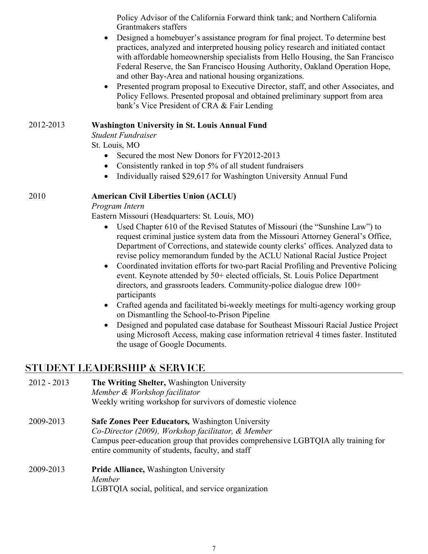Policy Advisor of the California Forward think tank; and Northern California Grantmakers staffers

- Designed a homebuyer's assistance program for final project. To determine best practices, analyzed and interpreted housing policy research and initiated contact with affordable homeownership specialists from Hello Housing, the San Francisco Federal Reserve, the San Francisco Housing Authority, Oakland Operation Hope, and other Bay-Area and national housing organizations.
- Presented program proposal to Executive Director, staff, and other Associates, and Policy Fellows. Presented proposal and obtained preliminary support from area bank's Vice President of CRA & Fair Lending

#### 2012-2013 **Washington University in St. Louis Annual Fund**

*Student Fundraiser*

St. Louis, MO

- Secured the most New Donors for FY2012-2013
- Consistently ranked in top 5% of all student fundraisers
- Individually raised \$29,617 for Washington University Annual Fund

#### 2010 **American Civil Liberties Union (ACLU)**

*Program Intern*

Eastern Missouri (Headquarters: St. Louis, MO)

- Used Chapter 610 of the Revised Statutes of Missouri (the "Sunshine Law") to request criminal justice system data from the Missouri Attorney General's Office, Department of Corrections, and statewide county clerks' offices. Analyzed data to revise policy memorandum funded by the ACLU National Racial Justice Project
- Coordinated invitation efforts for two-part Racial Profiling and Preventive Policing event. Keynote attended by 50+ elected officials, St. Louis Police Department directors, and grassroots leaders. Community-police dialogue drew 100+ participants
- Crafted agenda and facilitated bi-weekly meetings for multi-agency working group on Dismantling the School-to-Prison Pipeline
- Designed and populated case database for Southeast Missouri Racial Justice Project using Microsoft Access, making case information retrieval 4 times faster. Instituted the usage of Google Documents.

# **STUDENT LEADERSHIP & SERVICE**

| $2012 - 2013$ | The Writing Shelter, Washington University<br>Member & Workshop facilitator<br>Weekly writing workshop for survivors of domestic violence                                                                                                              |
|---------------|--------------------------------------------------------------------------------------------------------------------------------------------------------------------------------------------------------------------------------------------------------|
| 2009-2013     | <b>Safe Zones Peer Educators, Washington University</b><br>Co-Director (2009), Workshop facilitator, & Member<br>Campus peer-education group that provides comprehensive LGBTQIA ally training for<br>entire community of students, faculty, and staff |
| 2009-2013     | <b>Pride Alliance, Washington University</b><br>Member<br>LGBTQIA social, political, and service organization                                                                                                                                          |